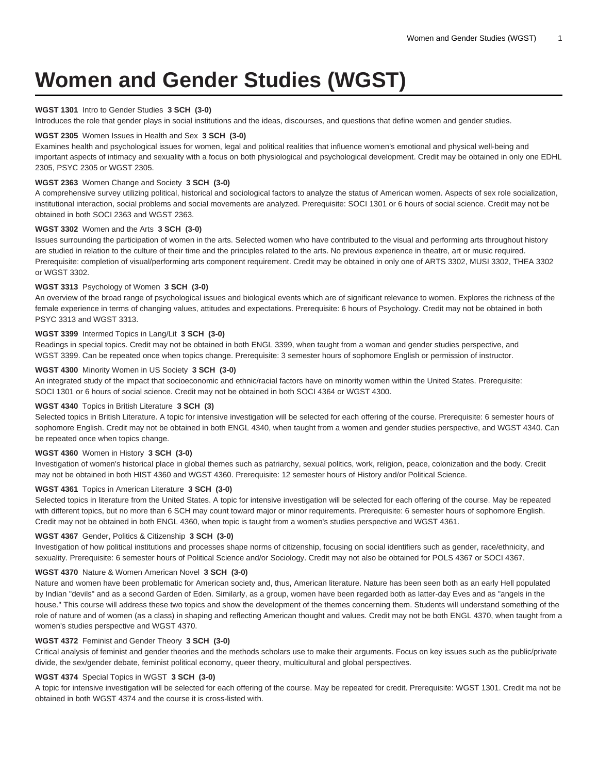# **Women and Gender Studies (WGST)**

# **WGST 1301** Intro to Gender Studies **3 SCH (3-0)**

Introduces the role that gender plays in social institutions and the ideas, discourses, and questions that define women and gender studies.

#### **WGST 2305** Women Issues in Health and Sex **3 SCH (3-0)**

Examines health and psychological issues for women, legal and political realities that influence women's emotional and physical well-being and important aspects of intimacy and sexuality with a focus on both physiological and psychological development. Credit may be obtained in only one EDHL 2305, PSYC 2305 or WGST 2305.

# **WGST 2363** Women Change and Society **3 SCH (3-0)**

A comprehensive survey utilizing political, historical and sociological factors to analyze the status of American women. Aspects of sex role socialization, institutional interaction, social problems and social movements are analyzed. Prerequisite: SOCI 1301 or 6 hours of social science. Credit may not be obtained in both SOCI 2363 and WGST 2363.

## **WGST 3302** Women and the Arts **3 SCH (3-0)**

Issues surrounding the participation of women in the arts. Selected women who have contributed to the visual and performing arts throughout history are studied in relation to the culture of their time and the principles related to the arts. No previous experience in theatre, art or music required. Prerequisite: completion of visual/performing arts component requirement. Credit may be obtained in only one of ARTS 3302, MUSI 3302, THEA 3302 or WGST 3302.

## **WGST 3313** Psychology of Women **3 SCH (3-0)**

An overview of the broad range of psychological issues and biological events which are of significant relevance to women. Explores the richness of the female experience in terms of changing values, attitudes and expectations. Prerequisite: 6 hours of Psychology. Credit may not be obtained in both PSYC 3313 and WGST 3313.

## **WGST 3399** Intermed Topics in Lang/Lit **3 SCH (3-0)**

Readings in special topics. Credit may not be obtained in both ENGL 3399, when taught from a woman and gender studies perspective, and WGST 3399. Can be repeated once when topics change. Prerequisite: 3 semester hours of sophomore English or permission of instructor.

# **WGST 4300** Minority Women in US Society **3 SCH (3-0)**

An integrated study of the impact that socioeconomic and ethnic/racial factors have on minority women within the United States. Prerequisite: SOCI 1301 or 6 hours of social science. Credit may not be obtained in both SOCI 4364 or WGST 4300.

#### **WGST 4340** Topics in British Literature **3 SCH (3)**

Selected topics in British Literature. A topic for intensive investigation will be selected for each offering of the course. Prerequisite: 6 semester hours of sophomore English. Credit may not be obtained in both ENGL 4340, when taught from a women and gender studies perspective, and WGST 4340. Can be repeated once when topics change.

#### **WGST 4360** Women in History **3 SCH (3-0)**

Investigation of women's historical place in global themes such as patriarchy, sexual politics, work, religion, peace, colonization and the body. Credit may not be obtained in both HIST 4360 and WGST 4360. Prerequisite: 12 semester hours of History and/or Political Science.

## **WGST 4361** Topics in American Literature **3 SCH (3-0)**

Selected topics in literature from the United States. A topic for intensive investigation will be selected for each offering of the course. May be repeated with different topics, but no more than 6 SCH may count toward major or minor requirements. Prerequisite: 6 semester hours of sophomore English. Credit may not be obtained in both ENGL 4360, when topic is taught from a women's studies perspective and WGST 4361.

#### **WGST 4367** Gender, Politics & Citizenship **3 SCH (3-0)**

Investigation of how political institutions and processes shape norms of citizenship, focusing on social identifiers such as gender, race/ethnicity, and sexuality. Prerequisite: 6 semester hours of Political Science and/or Sociology. Credit may not also be obtained for POLS 4367 or SOCI 4367.

#### **WGST 4370** Nature & Women American Novel **3 SCH (3-0)**

Nature and women have been problematic for American society and, thus, American literature. Nature has been seen both as an early Hell populated by Indian "devils" and as a second Garden of Eden. Similarly, as a group, women have been regarded both as latter-day Eves and as "angels in the house." This course will address these two topics and show the development of the themes concerning them. Students will understand something of the role of nature and of women (as a class) in shaping and reflecting American thought and values. Credit may not be both ENGL 4370, when taught from a women's studies perspective and WGST 4370.

## **WGST 4372** Feminist and Gender Theory **3 SCH (3-0)**

Critical analysis of feminist and gender theories and the methods scholars use to make their arguments. Focus on key issues such as the public/private divide, the sex/gender debate, feminist political economy, queer theory, multicultural and global perspectives.

# **WGST 4374** Special Topics in WGST **3 SCH (3-0)**

A topic for intensive investigation will be selected for each offering of the course. May be repeated for credit. Prerequisite: WGST 1301. Credit ma not be obtained in both WGST 4374 and the course it is cross-listed with.